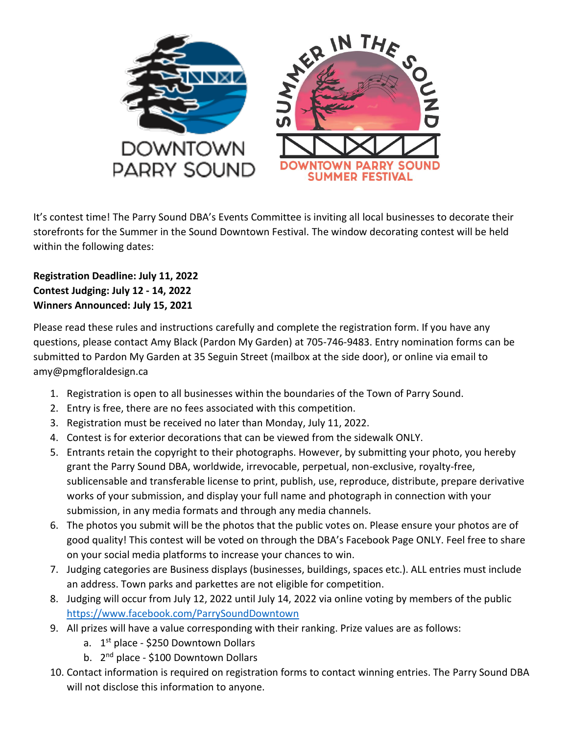

It's contest time! The Parry Sound DBA's Events Committee is inviting all local businesses to decorate their storefronts for the Summer in the Sound Downtown Festival. The window decorating contest will be held within the following dates:

## **Registration Deadline: July 11, 2022 Contest Judging: July 12 - 14, 2022 Winners Announced: July 15, 2021**

Please read these rules and instructions carefully and complete the registration form. If you have any questions, please contact Amy Black (Pardon My Garden) at 705-746-9483. Entry nomination forms can be submitted to Pardon My Garden at 35 Seguin Street (mailbox at the side door), or online via email to amy@pmgfloraldesign.ca

- 1. Registration is open to all businesses within the boundaries of the Town of Parry Sound.
- 2. Entry is free, there are no fees associated with this competition.
- 3. Registration must be received no later than Monday, July 11, 2022.
- 4. Contest is for exterior decorations that can be viewed from the sidewalk ONLY.
- 5. Entrants retain the copyright to their photographs. However, by submitting your photo, you hereby grant the Parry Sound DBA, worldwide, irrevocable, perpetual, non-exclusive, royalty-free, sublicensable and transferable license to print, publish, use, reproduce, distribute, prepare derivative works of your submission, and display your full name and photograph in connection with your submission, in any media formats and through any media channels.
- 6. The photos you submit will be the photos that the public votes on. Please ensure your photos are of good quality! This contest will be voted on through the DBA's Facebook Page ONLY. Feel free to share on your social media platforms to increase your chances to win.
- 7. Judging categories are Business displays (businesses, buildings, spaces etc.). ALL entries must include an address. Town parks and parkettes are not eligible for competition.
- 8. Judging will occur from July 12, 2022 until July 14, 2022 via online voting by members of the public <https://www.facebook.com/ParrySoundDowntown>
- 9. All prizes will have a value corresponding with their ranking. Prize values are as follows:
	- a. 1<sup>st</sup> place \$250 Downtown Dollars
	- b. 2<sup>nd</sup> place \$100 Downtown Dollars
- 10. Contact information is required on registration forms to contact winning entries. The Parry Sound DBA will not disclose this information to anyone.